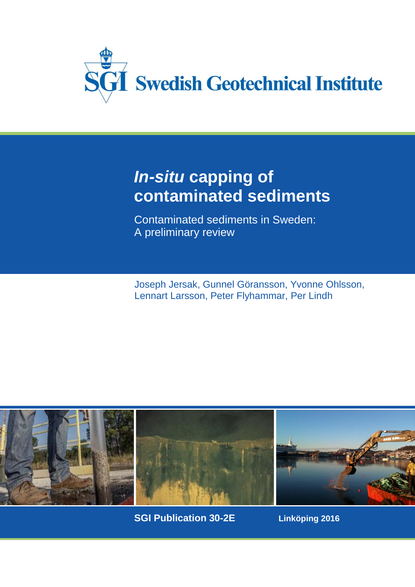

## *In-situ* **capping of contaminated sediments**

Contaminated sediments in Sweden: A preliminary review

Joseph Jersak, Gunnel Göransson, Yvonne Ohlsson, Lennart Larsson, Peter Flyhammar, Per Lindh



**SGI Publication 30-2E Linköping 2016**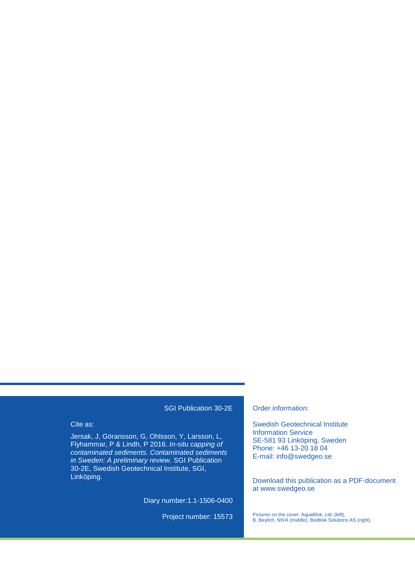#### SGI Publication 30-2E

#### Cite as:

Jersak, J, Göransson, G, Ohlsson, Y, Larsson, L, Flyhammar, P & Lindh, P 2016. *In-situ capping of contaminated sediments. Contaminated sediments in Sweden: A preliminary review*. SGI Publication 30-2E, Swedish Geotechnical Institute, SGI, Linköping.

Diary number:1.1-1506-0400

Project number: 15573

#### Order information:

Swedish Geotechnical Institute Information Service SE-581 93 Linköping, Sweden Phone: +46 13-20 18 04 E-mail: info@swedgeo.se

Download this publication as a PDF-document at www.swedgeo.se

Pictures on the cover: AquaBlok, Ltd. (left), B. Beylich, NIVA (middle), BioBlok Solutions AS (right).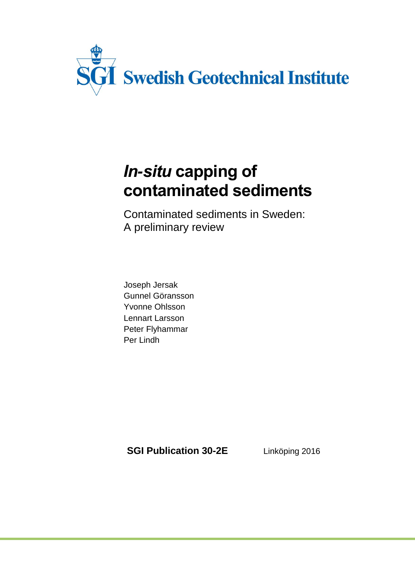

### *In-situ* **capping of contaminated sediments**

Contaminated sediments in Sweden: A preliminary review

Joseph Jersak Gunnel Göransson Yvonne Ohlsson Lennart Larsson Peter Flyhammar Per Lindh

**SGI Publication 30-2E** Linköping 2016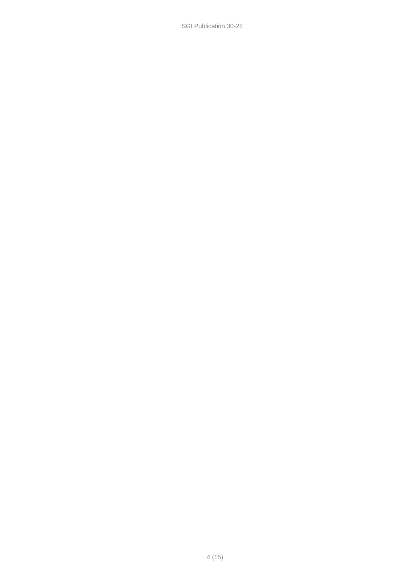SGI Publication 30-2E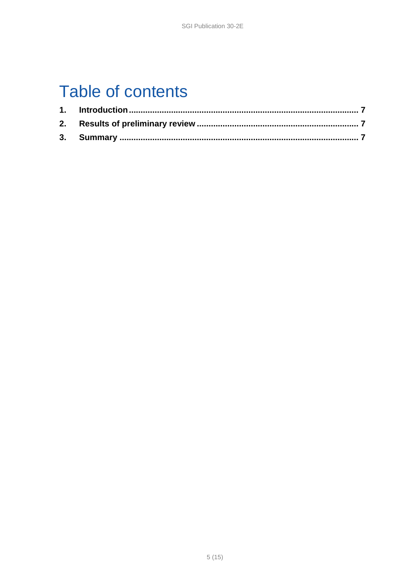## **Table of contents**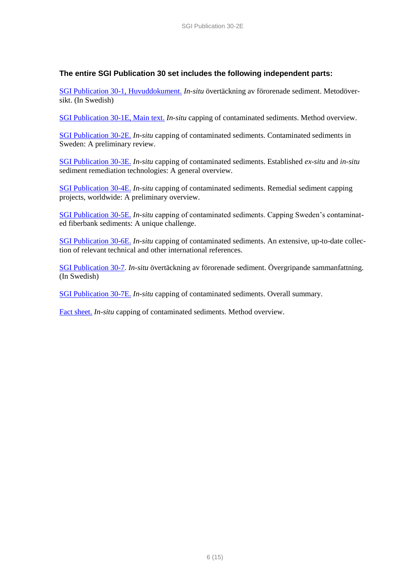#### **The entire SGI Publication 30 set includes the following independent parts:**

[SGI Publication 30-1, Huvuddokument.](http://www.swedgeo.se/globalassets/publikationer/sgi-publikation/sgi-p30-1.pdf) *In-situ* övertäckning av förorenade sediment. Metodöversikt. (In Swedish)

[SGI Publication 30-1E, Main text.](http://www.swedgeo.se/globalassets/publikationer/sgi-publikation/sgi-p30-1e.pdf) *In-situ* capping of contaminated sediments. Method overview.

[SGI Publication 30-2E.](http://www.swedgeo.se/globalassets/publikationer/sgi-publikation/sgi-p30-2e.pdf) *In-situ* capping of contaminated sediments. Contaminated sediments in Sweden: A preliminary review.

[SGI Publication 30-3E.](http://www.swedgeo.se/globalassets/publikationer/sgi-publikation/sgi-p30-3e.pdf) *In-situ* capping of contaminated sediments. Established *ex-situ* and *in-situ* sediment remediation technologies: A general overview.

[SGI Publication 30-4E.](http://www.swedgeo.se/globalassets/publikationer/sgi-publikation/sgi-p30-4e.pdf) *In-situ* capping of contaminated sediments. Remedial sediment capping projects, worldwide: A preliminary overview.

[SGI Publication 30-5E.](http://www.swedgeo.se/globalassets/publikationer/sgi-publikation/sgi-p30-5e.pdf) *In-situ* capping of contaminated sediments. Capping Sweden's contaminated fiberbank sediments: A unique challenge.

[SGI Publication 30-6E.](http://www.swedgeo.se/globalassets/publikationer/sgi-publikation/sgi-p30-6e.pdf) *In-situ* capping of contaminated sediments. An extensive, up-to-date collection of relevant technical and other international references.

[SGI Publication 30-7.](http://www.swedgeo.se/globalassets/publikationer/sgi-publikation/sgi-p30-7.pdf) *In-situ* övertäckning av förorenade sediment. Övergripande sammanfattning. (In Swedish)

[SGI Publication 30-7E.](http://www.swedgeo.se/globalassets/publikationer/sgi-publikation/sgi-p30-7e.pdf) *In-situ* capping of contaminated sediments. Overall summary.

[Fact sheet.](http://www.swedgeo.se/globalassets/publikationer/sgi-publikation/sgi-p30-fact-sheet.pdf) *In-situ* capping of contaminated sediments. Method overview.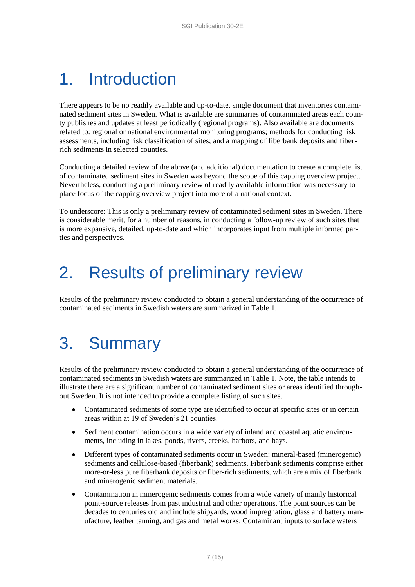# 1. Introduction

There appears to be no readily available and up-to-date, single document that inventories contaminated sediment sites in Sweden. What is available are summaries of contaminated areas each county publishes and updates at least periodically (regional programs). Also available are documents related to: regional or national environmental monitoring programs; methods for conducting risk assessments, including risk classification of sites; and a mapping of fiberbank deposits and fiberrich sediments in selected counties.

Conducting a detailed review of the above (and additional) documentation to create a complete list of contaminated sediment sites in Sweden was beyond the scope of this capping overview project. Nevertheless, conducting a preliminary review of readily available information was necessary to place focus of the capping overview project into more of a national context.

To underscore: This is only a preliminary review of contaminated sediment sites in Sweden. There is considerable merit, for a number of reasons, in conducting a follow-up review of such sites that is more expansive, detailed, up-to-date and which incorporates input from multiple informed parties and perspectives.

## 2. Results of preliminary review

Results of the preliminary review conducted to obtain a general understanding of the occurrence of contaminated sediments in Swedish waters are summarized in Table 1.

# 3. Summary

Results of the preliminary review conducted to obtain a general understanding of the occurrence of contaminated sediments in Swedish waters are summarized in Table 1. Note, the table intends to illustrate there are a significant number of contaminated sediment sites or areas identified throughout Sweden. It is not intended to provide a complete listing of such sites.

- Contaminated sediments of some type are identified to occur at specific sites or in certain areas within at 19 of Sweden's 21 counties.
- Sediment contamination occurs in a wide variety of inland and coastal aquatic environments, including in lakes, ponds, rivers, creeks, harbors, and bays.
- Different types of contaminated sediments occur in Sweden: mineral-based (minerogenic) sediments and cellulose-based (fiberbank) sediments. Fiberbank sediments comprise either more-or-less pure fiberbank deposits or fiber-rich sediments, which are a mix of fiberbank and minerogenic sediment materials.
- Contamination in minerogenic sediments comes from a wide variety of mainly historical point-source releases from past industrial and other operations. The point sources can be decades to centuries old and include shipyards, wood impregnation, glass and battery manufacture, leather tanning, and gas and metal works. Contaminant inputs to surface waters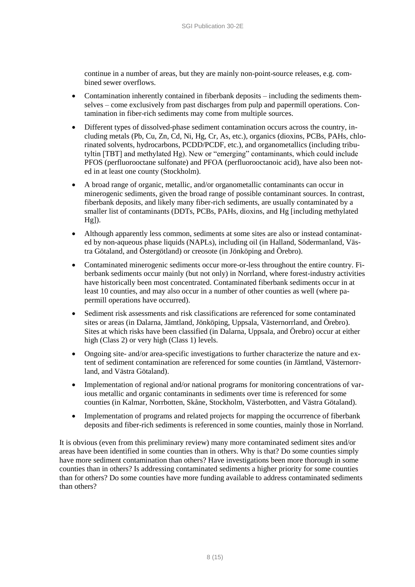continue in a number of areas, but they are mainly non-point-source releases, e.g. combined sewer overflows.

- Contamination inherently contained in fiberbank deposits including the sediments themselves – come exclusively from past discharges from pulp and papermill operations. Contamination in fiber-rich sediments may come from multiple sources.
- Different types of dissolved-phase sediment contamination occurs across the country, including metals (Pb, Cu, Zn, Cd, Ni, Hg, Cr, As, etc.), organics (dioxins, PCBs, PAHs, chlorinated solvents, hydrocarbons, PCDD/PCDF, etc.), and organometallics (including tributyltin [TBT] and methylated Hg). New or "emerging" contaminants, which could include PFOS (perfluorooctane sulfonate) and PFOA (perfluorooctanoic acid), have also been noted in at least one county (Stockholm).
- A broad range of organic, metallic, and/or organometallic contaminants can occur in minerogenic sediments, given the broad range of possible contaminant sources. In contrast, fiberbank deposits, and likely many fiber-rich sediments, are usually contaminated by a smaller list of contaminants (DDTs, PCBs, PAHs, dioxins, and Hg [including methylated  $Hg$ ]).
- Although apparently less common, sediments at some sites are also or instead contaminated by non-aqueous phase liquids (NAPLs), including oil (in Halland, Södermanland, Västra Götaland, and Östergötland) or creosote (in Jönköping and Örebro).
- Contaminated minerogenic sediments occur more-or-less throughout the entire country. Fiberbank sediments occur mainly (but not only) in Norrland, where forest-industry activities have historically been most concentrated. Contaminated fiberbank sediments occur in at least 10 counties, and may also occur in a number of other counties as well (where papermill operations have occurred).
- Sediment risk assessments and risk classifications are referenced for some contaminated sites or areas (in Dalarna, Jämtland, Jönköping, Uppsala, Västernorrland, and Örebro). Sites at which risks have been classified (in Dalarna, Uppsala, and Örebro) occur at either high (Class 2) or very high (Class 1) levels.
- Ongoing site- and/or area-specific investigations to further characterize the nature and extent of sediment contamination are referenced for some counties (in Jämtland, Västernorrland, and Västra Götaland).
- Implementation of regional and/or national programs for monitoring concentrations of various metallic and organic contaminants in sediments over time is referenced for some counties (in Kalmar, Norrbotten, Skåne, Stockholm, Västerbotten, and Västra Götaland).
- Implementation of programs and related projects for mapping the occurrence of fiberbank deposits and fiber-rich sediments is referenced in some counties, mainly those in Norrland.

It is obvious (even from this preliminary review) many more contaminated sediment sites and/or areas have been identified in some counties than in others. Why is that? Do some counties simply have more sediment contamination than others? Have investigations been more thorough in some counties than in others? Is addressing contaminated sediments a higher priority for some counties than for others? Do some counties have more funding available to address contaminated sediments than others?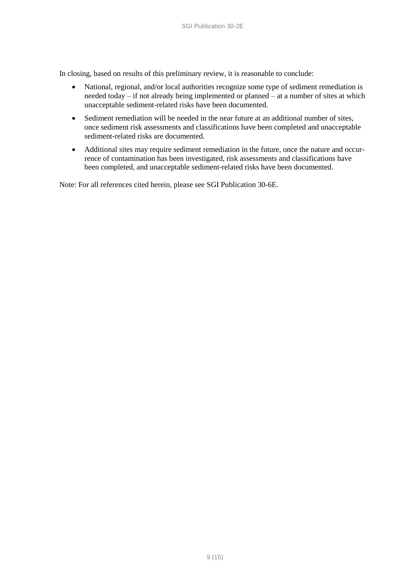In closing, based on results of this preliminary review, it is reasonable to conclude:

- National, regional, and/or local authorities recognize some type of sediment remediation is needed today – if not already being implemented or planned – at a number of sites at which unacceptable sediment-related risks have been documented.
- Sediment remediation will be needed in the near future at an additional number of sites, once sediment risk assessments and classifications have been completed and unacceptable sediment-related risks are documented.
- Additional sites may require sediment remediation in the future, once the nature and occurrence of contamination has been investigated, risk assessments and classifications have been completed, and unacceptable sediment-related risks have been documented.

Note: For all references cited herein, please see SGI Publication 30-6E.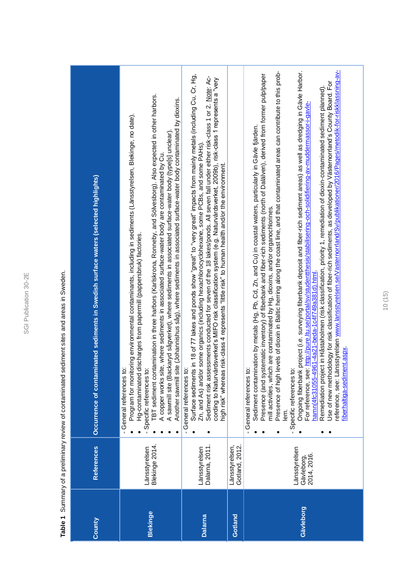| Itaminated sediments in Swedish surface waters (selected highlights)<br>Occurrence of con | TBT sediment contamination in three harbors (Karlskrona, Ronneby, and Sölvesborg). Also expected in other harbors.<br>Another sawmill site (Johannishus såg), where sediments in associated surface-water body contaminated by dioxins.<br>Program for monitoring environmental contaminants, including in sediments (Länsstyrelsen, Blekinge, no date).<br>A sawmill site (Backaryd sågverket), where sediments in associated surface-water body (type[s] unclear)<br>A copper works site, where sediments in associated surface-water body are contaminated by Cu.<br>Hg-contaminated discharges from papermill (pappersbruk) factories.<br>-General references to:<br>io:<br>Specific reference | Surface sediments in 18 of 77 lakes and ponds show "great" to "very great" impacts from mainly metals (including Cu, Cr, Hg,<br>Sediment risk assessments conducted for seven of the 18 lakes/ponds. All seven fall under either risk-class 1 or 2. Note: Ac-<br>cording to Naturvårdsverket's MIFO risk classification system (e.g. Naturvårdsverket, 2009b), risk-class 1 represents a "very<br>Zn, and As) and/or some organics (including hexachlorocyclohexane, some PCBs, and some PAHs).<br>eas risk-class 4 represents "little risk" to human health and/or the environment.<br>io:<br>S<br>-General reference<br>high risk" wher |                                  | reference, see: Länsstyrelsen <u>www.lansstyrelsen.se/Vasternorrland/Sv/publikationer/2016/Pages/metodik-for-riskklassning-av-</u><br>Ongoing fiberbank project (i.e. surveying fiberbank deposit and fiber-rich sediment areas) as well as dredging in Gävle Harbor.<br>Presence of high levels of dioxin in Baltic herring along the coast line, and that contaminated areas can contribute to this prob-<br>systematic inventory) of fiberbank and fiber-rich sediments (north of Dalälven), derived from former pulp/paper<br>Use of new methodology for risk classification of fiber-rich sediments, as developed by Vasternorrland's County Board. For<br>Remediation project in Håstaholmen (risk classification, priority 1, remediation of dioxin-contaminated sediment planned).<br>see: http://pure.ltu.se/portal/sv/studentthesis/stabilisering-och-solidifiering-av-muddermassor-i-gavle-<br>Sediment contamination by metals (Hg, Pb, Cd, Zn, and Cu) in coastal waters, particularly in Gävle fjärden.<br>mill activities, which are contaminated by Hg, dioxins, and/or organochlorines.<br>namn(4fc31055-4961-4a21-beda-1c4f749a381d).html.<br>fiberhaltiga-sediment.aspx.<br>io:<br>$\frac{5}{25}$<br>-General reference<br>Presence (and<br>- Specific reference<br>For reference,<br>lem. |
|-------------------------------------------------------------------------------------------|----------------------------------------------------------------------------------------------------------------------------------------------------------------------------------------------------------------------------------------------------------------------------------------------------------------------------------------------------------------------------------------------------------------------------------------------------------------------------------------------------------------------------------------------------------------------------------------------------------------------------------------------------------------------------------------------------|-------------------------------------------------------------------------------------------------------------------------------------------------------------------------------------------------------------------------------------------------------------------------------------------------------------------------------------------------------------------------------------------------------------------------------------------------------------------------------------------------------------------------------------------------------------------------------------------------------------------------------------------|----------------------------------|---------------------------------------------------------------------------------------------------------------------------------------------------------------------------------------------------------------------------------------------------------------------------------------------------------------------------------------------------------------------------------------------------------------------------------------------------------------------------------------------------------------------------------------------------------------------------------------------------------------------------------------------------------------------------------------------------------------------------------------------------------------------------------------------------------------------------------------------------------------------------------------------------------------------------------------------------------------------------------------------------------------------------------------------------------------------------------------------------------------------------------------------------------------------------------------------------------------------------------------------------------------------------------------------------------------|
| <b>References</b>                                                                         | Blekinge 2014.<br>Länsstyrelsen                                                                                                                                                                                                                                                                                                                                                                                                                                                                                                                                                                                                                                                                    | Dalarna, 2011.<br>Länsstyrelsen                                                                                                                                                                                                                                                                                                                                                                                                                                                                                                                                                                                                           | Länsstyrelsen,<br>Gotland, 2012. | Länsstyrelsen<br>2014, 2016.<br>Gävleborg,                                                                                                                                                                                                                                                                                                                                                                                                                                                                                                                                                                                                                                                                                                                                                                                                                                                                                                                                                                                                                                                                                                                                                                                                                                                                    |
| County                                                                                    | Blekinge                                                                                                                                                                                                                                                                                                                                                                                                                                                                                                                                                                                                                                                                                           | <b>Dalarna</b>                                                                                                                                                                                                                                                                                                                                                                                                                                                                                                                                                                                                                            | Gotland                          | Gävleborg                                                                                                                                                                                                                                                                                                                                                                                                                                                                                                                                                                                                                                                                                                                                                                                                                                                                                                                                                                                                                                                                                                                                                                                                                                                                                                     |

Table 1 Summary of a preliminary review of contaminated sediment sites and areas in Sweden. **Table 1** Summary of a preliminary review of contaminated sediment sites and areas in Sweden.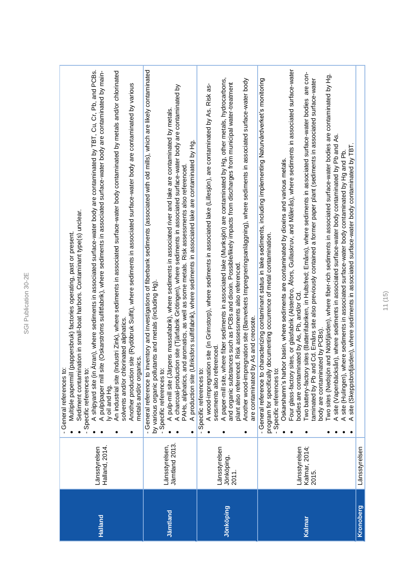|           |                                         | Sediment contamination in small-boat harbors. Contaminant type(s) unclear.<br>Multiple papermill (pappersbruk) factories operating, past or present<br>-General references to:<br>io:<br>Specific reference                                                                                                                                                                                                                                        |
|-----------|-----------------------------------------|----------------------------------------------------------------------------------------------------------------------------------------------------------------------------------------------------------------------------------------------------------------------------------------------------------------------------------------------------------------------------------------------------------------------------------------------------|
| Halland   | Halland, 2014.<br>Länsstyrelsen         | A shipyard site (in Atran), where sediments in associated surface-water body are contaminated by TBT, Cu, Cr, Pb, and PCBs.<br>A pulp/paper mill site (Oskarströms sulfittabrik), where sediments in associated surface-water body are contaminated by main-<br>ly oil and Hg.                                                                                                                                                                     |
|           |                                         | An industrial site (Industri Zink), where sediments in associated surface-water body contaminated by metals and/or chlorinated<br>solvents and/or chlorinated aliphatics.                                                                                                                                                                                                                                                                          |
|           |                                         | Another production site (Rydöbruk Sulfit), where sediments in associated surface-water body are contaminated by various<br>metals and/or organics                                                                                                                                                                                                                                                                                                  |
|           |                                         | - General reference to inventory and investigations of fiberbank sediments (associated with old mills), which are likely contaminated<br>by various organic pollutants and metals (including Hg).<br>ss to:<br>Specific reference                                                                                                                                                                                                                  |
| Jämtland  | Jämtland 2013.<br>Länsstyrelsen,        | A charcoal-production site (Tjärfabrik Grötingen), where sediments in associated surface-water body are contaminated by<br>A pulp-mill site (Järpens massafabrik), where sediments in associated river and lake are contaminated by metals<br>A production site (Ulriksfors sulfitfabrik), where sediments in associated lake are contaminated by Hg.<br>PAHs, aliphatics, and aromatics, as well as some metals. Risk assessments also referenced |
|           |                                         | A wood-impregnation site (in Grimstorp), where sediments in associated lake (Lillesjön), are contaminated by As. Risk as-<br>sessments also referenced.<br>Specific references to:                                                                                                                                                                                                                                                                 |
| Jönköping | Länsstyrelsen<br>Jönköping<br>2011.     | A paper-mill site, where fiber sediments in associated lake (Munksjön) are contaminated by Hg, other metals, hydrocarbons,<br>and organic substances such as PCBs and dioxin. Possible/likely impacts from discharges from municipal water-treatment<br>plant also referenced. Risk assessments also referenced                                                                                                                                    |
|           |                                         | Another wood-impregnation site (Banverkets Impregneringsanläggning), where sediments in associated surface-water body<br>are contaminated by As and creosote.                                                                                                                                                                                                                                                                                      |
|           |                                         | - General reference to characterizing contaminant status in lake sediments, including implementing Naturvårdverket's monitoring<br>program for specifically documenting occurrence of metal contamination.<br>Specific references to:                                                                                                                                                                                                              |
|           |                                         | Four glass-factory sites, or glasfabrik (Alsterbro, Afors, Gullaskruv, and Málerás), where sediments in associated surface-water<br>Oskarshamn's harbor basin, where sediments are contaminated by dioxins and various metals<br>bodies are contaminated by As, Pb, and/or Cd.                                                                                                                                                                     |
| Kalmar    | Kalmar, 2014;<br>Länsstyrelsen<br>2015. | Two battery-factory sites (Batterifabriken, in Hultsfred; Emåns), where sediments in associated surface-water bodies are con-<br>aminated by Pb and Cd. Emåns site also previously contained a former paper plant (sediments in associated surface-water<br>body are contaminated by PCBs)                                                                                                                                                         |
|           |                                         | Two sites (Nedsjön and Nötöfjärden), where fiber-rich sediments in associated surface-water bodies are contaminated by Hg.<br>A site (Vapenbäcksån), where sediments in associated surface-water body contaminated by Pb and As                                                                                                                                                                                                                    |
|           |                                         | A site (Hulingen), where sediments in associated surface-water body contaminated by Hg and Pb.<br>A site (Skeppsbrofjärden), where sediments in associated surface-water body contaminated by TBT                                                                                                                                                                                                                                                  |
| Kronoberg | Länsstyrelsen                           |                                                                                                                                                                                                                                                                                                                                                                                                                                                    |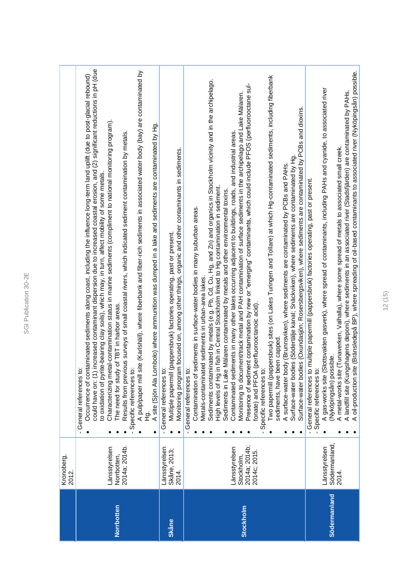|                  | Kronoberg<br>2012.                                          |                                                                                                                                                                                                                                                                                                                                                                                                                                                                                                                                                              |
|------------------|-------------------------------------------------------------|--------------------------------------------------------------------------------------------------------------------------------------------------------------------------------------------------------------------------------------------------------------------------------------------------------------------------------------------------------------------------------------------------------------------------------------------------------------------------------------------------------------------------------------------------------------|
| Norrbotten       | ansstyrelsen<br>Norrbotten,                                 | could have on: (1) increased contaminant dispersion due to increased coastal erosion, and (2) significant reductions in pH (due<br>Occurrence of contaminated sediments along coast, including the influence long-term land uplift (due to post-glacial rebound)<br>metal-contamination status in marine sediments (compliment to national monitoring program).<br>to oxidation of pyrite-bearing day soils), which may, in turn, affect mobility of some metals.<br>The need for study of TBT in harbor areas.<br>-General references to:<br>Characterizing |
|                  | 2014a; 2014b.                                               | A pulp/paper mill site (Karlshäll), where fiberbank and fiber-rich sediments in associated water body (bay) are contaminated by<br>A site (Sjön Ala Lombolo) where ammunition was dumped in a lake and sediments are contaminated by Hg.<br>Results from previous surveys of small coastal rivers, which indicated sediment contamination by metals.<br>- Specific references to:<br>.<br>ਦਿ                                                                                                                                                                 |
| <b>Skåne</b>     | Länsstyrelsen<br>Skåne, 2013;<br>2014.                      | Monitoring program focused on, among other things, organic and other contaminants in sediments<br>Multiple papermill (pappersbruk) factories operating, past or present.<br>-General references to:                                                                                                                                                                                                                                                                                                                                                          |
|                  |                                                             | Sediments contaminated by metals (e.g. Pb, Cd, Cu, Hg, and Zn) and organics in Stockholm vicinity and in the archipelago.<br>High levels of Hg in fish in Central Stockholm linked to Hg contamination in sediment.<br>Sediments in Lake Mälaren contaminated by metals and other environmental toxins.<br>Contamination of sediments in surface-water bodies in many suburban areas<br>Metals-contaminated sediments in urban-area lakes.<br>-General references to:                                                                                        |
| <b>Stockholm</b> | 2014a; 2014b;<br>ansstyrelsen<br>2014c; 2015.<br>Stockholm, | Presence of sediment contamination by new or "emerging" contaminants, which could include PFOS (perfluorooctane sul-<br>Monitoring to document/track metal and PAH contamination of surface sediments in the archipelago and Lake Mälaren.<br>Contaminated sediments in many other lakes occurring adjacent to buildings, roads, and industrial areas.<br>fonate) and PFOA (perfluorooctanoic acid).<br>- Specific references to:                                                                                                                            |
|                  |                                                             | Two papermill (pappersbruk) sites (on Lakes Turingen and Tollare) at which Hg-contaminated sediments, including fiberbank<br>Surface-water bodies (Oxundasjön; Rosersbergsviken), where sediments are contaminated by PCBs and dioxins.<br>Surface-water bodies (Södertälje kanal; Snäckviken), where sediments are contaminated by Hg.<br>A surface-water body (Brunnsviken), where sediments are contaminated by PCBs and PAHs.<br>sediments, have been capped.                                                                                            |
| Södermanland     | Södermanland,<br>ansstyrelsen                               | A gas-works site (Slottsvakten gasverk), where spread of contaminants, including PAHs and cyanide, to associated river<br>- General references to multiple papermill (pappersbruk) factories operating, past or present.<br>(Nyköpingsån) possible.<br>Specific references to:                                                                                                                                                                                                                                                                               |
|                  | 2014.                                                       | site (Bränsledepå BP), where spreading of oil-based contaminants to associated river (Nyköpingsån) possible.<br>A landfill site (Kungshagens deponi), where sediments in an associated river (Stadsfjärden) are contaminated by PAHs.<br>A metal-works site (Tunaverken, Valhalla), where some spread of metals to associated small creek.<br>A oil-production                                                                                                                                                                                               |

Г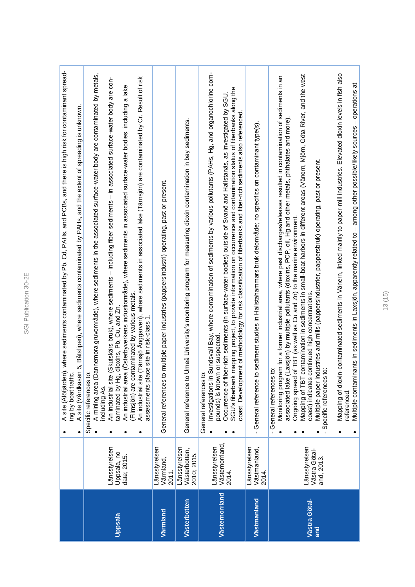|                |                                               | A site (Alöfjärden), where sediments contaminated by Pb, Cd, PAHs, and PCBs, and there is high risk for contaminant spread-                                                                                                                                                                                                                                                                              |
|----------------|-----------------------------------------------|----------------------------------------------------------------------------------------------------------------------------------------------------------------------------------------------------------------------------------------------------------------------------------------------------------------------------------------------------------------------------------------------------------|
|                |                                               | Båtsliperi), where sediments contaminated by PAHs, and the extent of spreading is unknown.<br>A site (Vårdkasen 5,<br>ing by boat traffic.<br>$\bullet$                                                                                                                                                                                                                                                  |
|                |                                               | (Dannemora gruvområde), where sediments in the associated surface-water body are contaminated by metals,<br>ë<br>Specific references<br>A mining area<br>including As.                                                                                                                                                                                                                                   |
| Uppsala        | ansstyrelsen<br>Uppsala, no                   | An industrial site (Skutskärs bruk), where sediments - including fiber sediments - in associated surface-water body are con-<br>taminated by Hg, dioxins, Pb, Cu, and Zn.                                                                                                                                                                                                                                |
|                | date; 2015.                                   | An industrial area (Österbyverkens industiområde), where sediments in associated surface-water bodies, including a lake                                                                                                                                                                                                                                                                                  |
|                |                                               | An industrial site (Tärnsjö Ånggarveri), where sediments in associated lake (Tärnsjön) are contaminated by Cr. Result of risk<br>(Filmsjön) are contaminated by various metals.<br>lace site in risk-class 1<br>assessments p                                                                                                                                                                            |
| Värmland       | Länsstyrelsen<br>Värmland<br>2011.            | to multiple paper industries (pappersindustri) operating, past or present.<br>General references                                                                                                                                                                                                                                                                                                         |
| Västerbotten   | Länsstyrelsen<br>Västerbotten,<br>2010; 2015. | o Umeå University's monitoring program for measuring dioxin contamination in bay sediments.<br>General reference                                                                                                                                                                                                                                                                                         |
|                | ansstyrelsen                                  | Investigations in Sundsvall Bay, where contamination of sediments by various pollutants (PAHs, Hg, and organochlorine com-<br><u>ٰۃ</u><br>General references                                                                                                                                                                                                                                            |
| Västernorrland | Västernorrland,<br>2014.                      | ik mapping project, to provide information on occurrence and contamination status of fiberbanks along the<br>Occurrence of fiber-rich sediments (in surface-water bodies) outside of Svanö and Hallstanäs, as investigated by SGU<br>coast. Development of methodology for risk classification of fiberbanks and fiber-rich sediments also referenced<br>pounds) is known or suspected<br>SGU's fiberbar |
| Västmanland    | Länsstyrelsen<br>Västmanland,<br>2014.        | to sediment studies in Hallstahammars bruk delområde; no specifics on contaminant type(s).<br>-General reference                                                                                                                                                                                                                                                                                         |
|                |                                               | Monitoring program for a former industrial area, where past discharges/releases resulted in contamination of sediments in an<br>associated lake (Laxsjön) by multiple pollutants (dioxins, PCP, oil, Hg and other metals, phthalates and more).<br>s to:<br>-General reference                                                                                                                           |
| Västra Götal-  | Länsstyrelsen                                 | Mapping of TBT contamination in sediments in small-boat harbors in different areas (Vänern, Mjörn, Göta River, and the west<br>Ongoing spread of TBT (as well as Cu and Zn) to the marine environment.<br>coast) indicates continued high concentrations.                                                                                                                                                |
| and            | Västra Götal-<br>and, 2013.                   | industries and mills (pappersindustrier, pappersbruk) operating, past or present.<br>ë.<br>· Multiple paper                                                                                                                                                                                                                                                                                              |
|                |                                               | Mapping of dioxin-contaminated sediments in Vänem, linked mainly to paper-mill industries. Elevated dioxin levels in fish also<br>ninants in sediments in Laxsjön, apparently related to - among other possible/likely sources - operations at<br>Multiple contar<br>referenced.                                                                                                                         |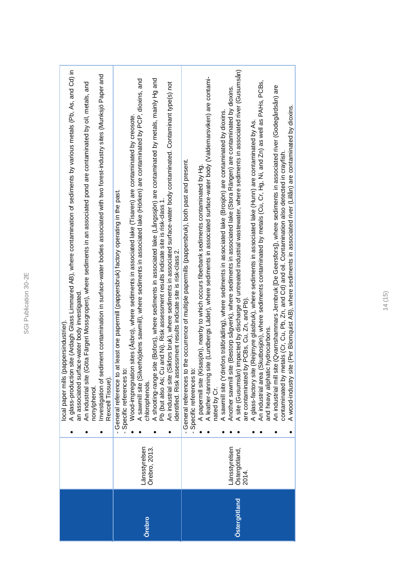| <b>Östergötland</b><br><b>Orebro</b> | ansstyrelsen<br>ansstyrelsen<br>Örebro, 2013.<br>Östergötland,<br>2014. | A site (Gusumsån) impacted by discharge of untreated industrial wastewater, where sediments in associated river (Gusumsån)<br>A glass-production site (Ardagh Glass Limmared AB), where contamination of sediments by various metals (Pb, As, and Cd) in<br>sediment contamination in surface-water bodies associated with two forest-industry sites (Munksjö Paper and<br>A leather-tanning site (Lundbergs Läder), where sediments in associated surface-water body (Valdemarsviken) are contami-<br>A shooting-range site (Bofors), where sediments in associated lake (Långssjön) are contaminated by metals, mainly Hg and<br>Silverhöjdens sawmill), where sediments in associated lake (Hörken) are contaminated by PCP, dioxins, and<br>ea (Skutbosjön), where sediments contaminated by metals (Cu, Cr, Hg, Ni, and Zn) as well as PAHs, PCBs,<br>te (Göta Färgeri Mossgropen), where sediments in an associated pond are contaminated by oil, metals, and<br>An industrial site (Sikfors bruk), where sediments in associated surface-water body contaminated. Contaminant type(s) not<br>ll site (Bestorp sågverk), where sediments in associated lake (Stora Rängen) are contaminated by dioxins<br>(Ydrefors träförädling), where sediments in associated lake (Brosjön) are contaminated by dioxins.<br>ation sites (Asbro), where sediments in associated lake (Tisaren) are contaminated by creosote<br>site (Reijmyre glasbruk), where sediments in associated lake (Hunn) are contaminated by As.<br>- General references to the occurrence of multiple papermills (pappersbruk), both past and present.<br>A papermill site (Kisasjön), nearby to which occurs fiberbank sediments contaminated by Hg.<br>to at least one papermill (pappersbruk) factory operating in the past.<br>Pb (but also As; Cu and Ni). Risk assessment results indicate site is risk-class 1.<br>assessment results indicate site is risk-class 2<br>an associated surface-water body investigated<br>are contaminated by PCBs, Cu, Zn, and Pb).<br>s (pappersindustrier)<br>and heavy aliphatic hydrocarbons.<br>- Specific references to:<br>Specific references to:<br>local paper mill<br>Investigation of<br>Rexcell Tissue<br>- General reference<br>identified. Risk<br>Another sawmi<br>A glass-factory<br>An industrial ar<br>An industrial si<br>Wood-impregn<br>chlorophenols.<br>A sawmill site<br>A sawmill site<br>nated by Cr.<br>nonylphenol. |
|--------------------------------------|-------------------------------------------------------------------------|------------------------------------------------------------------------------------------------------------------------------------------------------------------------------------------------------------------------------------------------------------------------------------------------------------------------------------------------------------------------------------------------------------------------------------------------------------------------------------------------------------------------------------------------------------------------------------------------------------------------------------------------------------------------------------------------------------------------------------------------------------------------------------------------------------------------------------------------------------------------------------------------------------------------------------------------------------------------------------------------------------------------------------------------------------------------------------------------------------------------------------------------------------------------------------------------------------------------------------------------------------------------------------------------------------------------------------------------------------------------------------------------------------------------------------------------------------------------------------------------------------------------------------------------------------------------------------------------------------------------------------------------------------------------------------------------------------------------------------------------------------------------------------------------------------------------------------------------------------------------------------------------------------------------------------------------------------------------------------------------------------------------------------------------------------------------------------------------------------------------------------------------------------------------------------------------------------------------------------------------------------------------------------------------------------------------------------------------------------------------------------------------------------------------------------------------------------|
|                                      |                                                                         | An industrial mill site (Qvarnshammars Jernbruk [De Geersfors]), where sediments in associated river (Godegårdsån) are<br>ry site (Per Blomquist AB), where sediments in associated river (Lillån) are contaminated by dioxins.<br>contaminated by metals (Cr, Cu, Pb, Zn, and Cd) and oil. Contamination also detected in crayfish<br>A wood-indust                                                                                                                                                                                                                                                                                                                                                                                                                                                                                                                                                                                                                                                                                                                                                                                                                                                                                                                                                                                                                                                                                                                                                                                                                                                                                                                                                                                                                                                                                                                                                                                                                                                                                                                                                                                                                                                                                                                                                                                                                                                                                                       |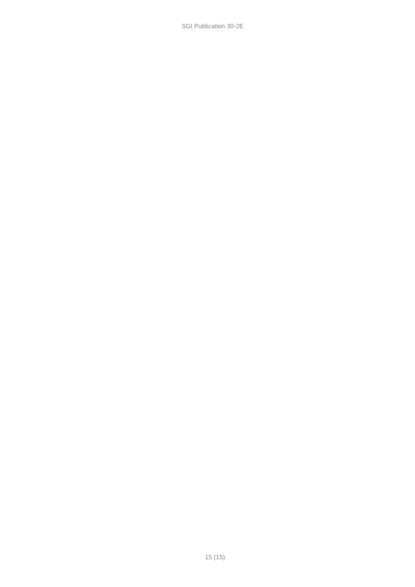SGI Publication 30-2E